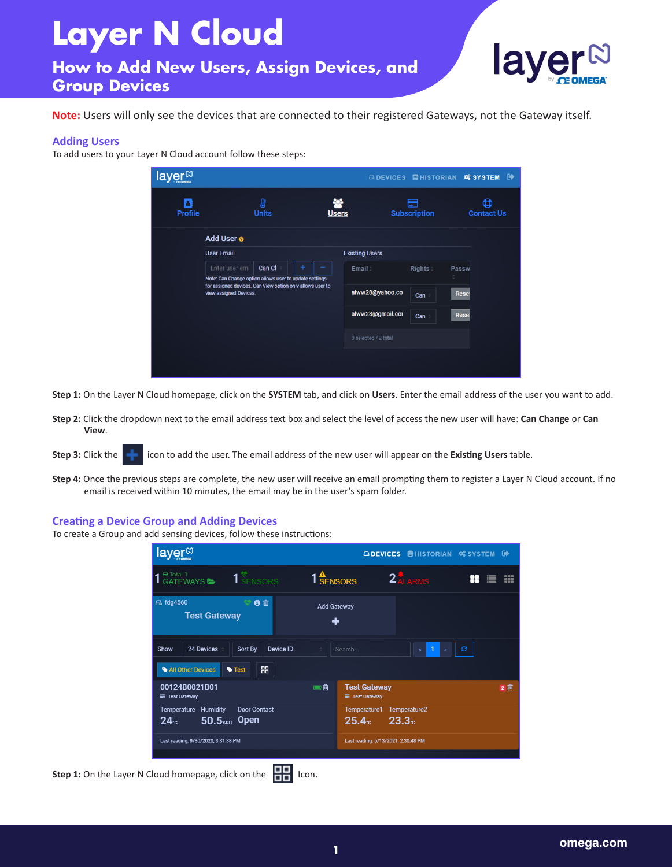## **Layer N Cloud**

**How to Add New Users, Assign Devices, and Group Devices**



**Note:** Users will only see the devices that are connected to their registered Gateways, not the Gateway itself.

## **Adding Users**

To add users to your Layer N Cloud account follow these steps:

| layer <sup>⊠</sup>  |                        |                                                                                                                     |                     |                       |                     |              | ADEVICES SHISTORIAN OS SYSTEM OF |
|---------------------|------------------------|---------------------------------------------------------------------------------------------------------------------|---------------------|-----------------------|---------------------|--------------|----------------------------------|
| Δ<br><b>Profile</b> |                        | O<br><b>Units</b>                                                                                                   | РФ.<br><b>Users</b> |                       | <b>Subscription</b> |              | Q<br><b>Contact Us</b>           |
|                     | Add User o             |                                                                                                                     |                     |                       |                     |              |                                  |
|                     | <b>User Email</b>      |                                                                                                                     |                     | <b>Existing Users</b> |                     |              |                                  |
|                     | Enter user em          | Can Ch<br>۰                                                                                                         |                     | Email:                | Rights:             | Passw        |                                  |
|                     |                        | Note: Can Change option allows user to update settings<br>for assigned devices. Can View option only allows user to |                     |                       |                     | ċ            |                                  |
|                     | view assigned Devices. |                                                                                                                     |                     | alww28@yahoo.co       | Can                 | Reset        |                                  |
|                     |                        |                                                                                                                     |                     | alww28@gmail.cor      | Can                 | <b>Reset</b> |                                  |
|                     |                        |                                                                                                                     |                     | 0 selected / 2 total  |                     |              |                                  |
|                     |                        |                                                                                                                     |                     |                       |                     |              |                                  |
|                     |                        |                                                                                                                     |                     |                       |                     |              |                                  |

**Step 1:** On the Layer N Cloud homepage, click on the **SYSTEM** tab, and click on **Users**. Enter the email address of the user you want to add.

- **Step 2:** Click the dropdown next to the email address text box and select the level of access the new user will have: **Can Change** or **Can View**.
- **Step 3:** Click the **interprellet in the user.** The email address of the new user will appear on the **Existing Users** table.
- **Step 4:** Once the previous steps are complete, the new user will receive an email prompting them to register a Layer N Cloud account. If no email is received within 10 minutes, the email may be in the user's spam folder.

## **Creating a Device Group and Adding Devices**

To create a Group and add sensing devices, follow these instructions:

|                                                     | layer <sup>®</sup>                      |                                                   |                               |                                              | <b>ADEVICES SHISTORIAN SYSTEM</b> D |         |     |
|-----------------------------------------------------|-----------------------------------------|---------------------------------------------------|-------------------------------|----------------------------------------------|-------------------------------------|---------|-----|
|                                                     | <b>A Total 1</b><br><b>GATEWAYS</b>     | 1 SENSORS                                         | 1 <sup>4</sup> <b>SENSORS</b> |                                              | 2 ALARMS                            | H٢<br>≡ | m   |
|                                                     | <b>△ fdg4560</b><br><b>Test Gateway</b> | 6 章                                               | <b>Add Gateway</b><br>٠       |                                              |                                     |         |     |
|                                                     | 24 Devices<br>Show<br>All Other Devices | Device ID<br>Sort By<br>噐<br><b>Test</b>          |                               | Search                                       |                                     | ø       |     |
|                                                     | 00124B0021B01<br><b>■ Test Gateway</b>  |                                                   | 画面                            | <b>Test Gateway</b><br><b>■ Test Gateway</b> |                                     |         | 2 回 |
|                                                     | <b>Temperature Humidity</b><br>24c      | <b>Door Contact</b><br>$50.5$ <sub>*RH</sub> Open |                               | Temperature1<br>25.4c                        | Temperature2<br>23.3 <sub>c</sub>   |         |     |
|                                                     | Last reading: 9/30/2020, 3:31:38 PM     |                                                   |                               | Last reading: 5/13/2021, 2:30:48 PM          |                                     |         |     |
| Step 1: On the Layer N Cloud homepage, click on the |                                         | Icon.<br>ᇛ                                        |                               |                                              |                                     |         |     |